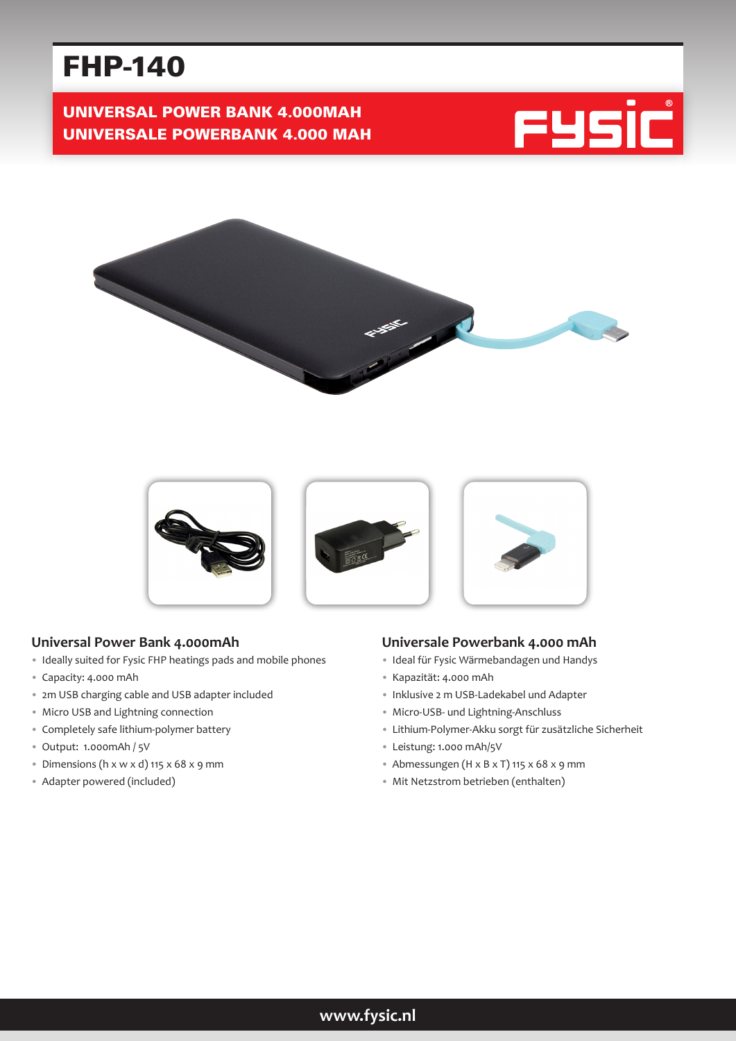# FHP-140

UNIVERSAL POWER BANK 4.000MAH UNIVERSALE POWERBANK 4.000 MAH







### **Universal Power Bank 4.000mAh**

- Ideally suited for Fysic FHP heatings pads and mobile phones
- Capacity: 4.000 mAh
- 2m USB charging cable and USB adapter included
- Micro USB and Lightning connection
- Completely safe lithium-polymer battery
- Output: 1.000mAh / 5V
- Dimensions (h  $x \le x d$ ) 115  $x 68 x 9$  mm
- Adapter powered (included)

### **Universale Powerbank 4.000 mAh**

- Ideal für Fysic Wärmebandagen und Handys
- Kapazität: 4.000 mAh
- Inklusive 2 m USB-Ladekabel und Adapter
- Micro-USB- und Lightning-Anschluss
- Lithium-Polymer-Akku sorgt für zusätzliche Sicherheit
- Leistung: 1.000 mAh/5V
- Abmessungen (H x B x T) 115 x 68 x 9 mm
- Mit Netzstrom betrieben (enthalten)